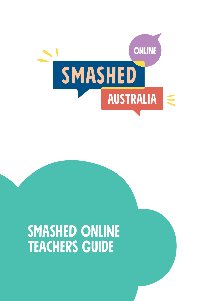

# Smashed ONLINE TEACHERS GUIDE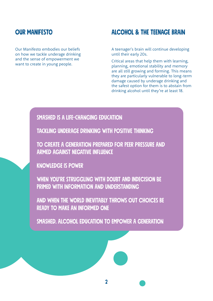### **OUR MANIFESTO**

Our Manifesto embodies our beliefs on how we tackle underage drinking and the sense of empowerment we want to create in young people.

### ALCOHOL & THE TEENAGE BRAIN

A teenager's brain will continue developing until their early 20s.

Critical areas that help them with learning, planning, emotional stability and memory are all still growing and forming. This means they are particularly vulnerable to long-term damage caused by underage drinking and the safest option for them is to abstain from drinking alcohol until they're at least 18.

### Smashed is a life-changing education

Tackling underage drinking with positive thinking

To create a generation prepared for peer pressure and armed against negative influence

Knowledge is power

WHEN YOU'RE STRUGGLING WITH DOUBT AND INDECISION BE primed with information and understanding

And when the world inevitably throws out choices be ready to make an informed one

Smashed. Alcohol education to empower a generation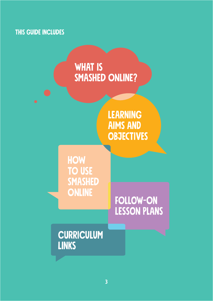# this guide includes



**LEARNING** aims and **OBJECTIVES** 

**HOW TO USE SMASHED ONLINE** 

# [Follow-on](#page-10-0) Lesson Plans

# **CURRICULUM LINKS**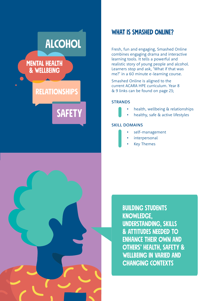# <span id="page-3-0"></span>**ALCOHOL**

### **MENTAL HEALTH** & WELLBEING

# **RELATIONSHIPS**

**SAFETY** 



### WHAT IS SMASHED ONLINE?

Fresh, fun and engaging, Smashed Online combines engaging drama and interactive learning tools. It tells a powerful and realistic story of young people and alcohol. Learners stop and ask, 'What if that was me?' in a 60 minute e-learning course.

Smashed Online is aligned to the current ACARA HPE curriculum. Year 8 & 9 links can be found on page 23;

#### **STRANDS**

- health, wellbeing & relationships
- healthy, safe & active lifestyles

#### SKILL DOMAINS

- self-management
- interpersonal
- **Key Themes**

BUILDING STUDENTS KNOWLEDGE, UNDERSTANDING, SKILLS & ATTITUDES NEEDED TO ENHANCE THEIR OWN AND OTHERS' HEALTH, SAFETY & WELLBEING IN VARIED AND CHANGING CONTEXTS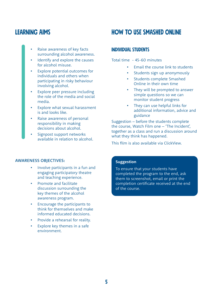### <span id="page-4-0"></span>LEARNING AIMS

- Raise awareness of key facts surrounding alcohol awareness.
- Identify and explore the causes for alcohol misuse.
- Explore potential outcomes for individuals and others when participating in risky behaviour involving alcohol.
- Explore peer pressure including the role of the media and social media.
- Explore what sexual harassment is and looks like.
- Raise awareness of personal responsibility in making decisions about alcohol.
- Signpost support networks available in relation to alcohol.

## How to use Smashed Online

### Individual Students

Total time - 45-60 minutes

- Email the course link to students
- Students sign up anonymously
- Students complete Smashed Online in their own time
- They will be prompted to answer simple questions so we can monitor student progress
- They can use helpful links for additional information, advice and guidance

Suggestion – before the students complete the course, Watch Film one – 'The Incident', together as a class and run a discussion around what they think has happened.

This film is also available via ClickView.

#### AWARENESS OBJECTIVES:

- Involve participants in a fun and engaging participatory theatre and teaching experience.
- Promote and facilitate discussion surrounding the key themes of the alcohol awareness program.
- Encourage the participants to think for themselves and make informed educated decisions.
- Provide a rehearsal for reality.
- Explore key themes in a safe environment.

#### **Suggestion**

To ensure that your students have completed the program to the end, ask them to screenshot, email or print the completion certificate received at the end of the course.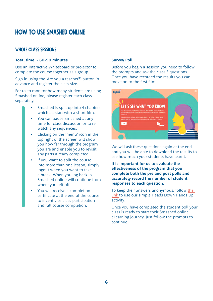## How to use Smashed Online

### Whole Class sessions

#### **Total time - 60-90 minutes**

Use an interactive Whiteboard or projector to complete the course together as a group.

Sign in using the 'Are you a teacher?' button in advance and register the class size.

For us to monitor how many students are using Smashed online, please register each class separately.

- Smashed is split up into 4 chapters which all start with a short film.
- You can pause Smashed at any time for class discussion or to rewatch any sequences.
- Clicking on the 'menu' icon in the top right of the screen will show you how far through the program you are and enable you to revisit any parts already completed.
- If you want to split the course into more than one lesson, simply logout when you want to take a break. When you log back in Smashed online will continue from where you left off.
- You will receive a completion certificate at the end of the course to incentivise class participation and full course completion.

#### **Survey Poll**

Before you begin a session you need to follow the prompts and ask the class 3 questions. Once you have recorded the results you can move on to the first film.



We will ask these questions again at the end and you will be able to download the results to see how much your students have learnt.

**It is important for us to evaluate the effectiveness of the program that you complete both the pre and post polls and accurately record the number of student responses to each question.**

To keep their answers anonymous, follow [the](https://indd.adobe.com/view/d607ab6a-8c55-4253-b2ca-127964afff53)  [link](https://indd.adobe.com/view/d607ab6a-8c55-4253-b2ca-127964afff53) to use our simple Heads Down Hands Up activity!

Once you have completed the student poll your class is ready to start their Smashed online eLearning journey. Just follow the prompts to continue.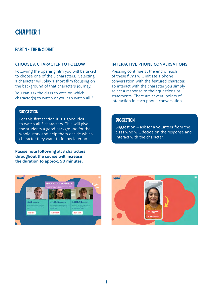#### Part 1 - The incident

#### CHOOSE A CHARACTER TO FOLLOW

Following the opening film you will be asked to choose one of the 3 characters. Selecting a character will play a short film focusing on the background of that characters journey.

You can ask the class to vote on which character(s) to watch or you can watch all 3.

#### **SUGGESTION**

For this first section it is a good idea to watch all 3 characters. This will give the students a good background for the whole story and help them decide which character they want to follow later on.

**Please note following all 3 characters throughout the course will increase the duration to approx. 90 minutes.**

#### INTERACTIVE PHONE CONVERSATIONS

Pressing continue at the end of each of these films will initiate a phone conversation with the featured character. To interact with the character you simply select a response to their questions or statements. There are several points of interaction in each phone conversation.

#### **SUGGESTION**

Suggestion – ask for a volunteer from the class who will decide on the response and interact with the character.



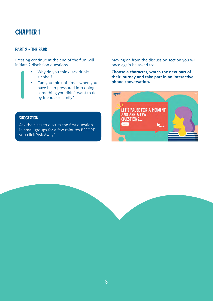### Part 2 - The Park

Pressing continue at the end of the film will initiate 2 discission questions.

- Why do you think Jack drinks alcohol?
- Can you think of times when you have been pressured into doing something you didn't want to do by friends or family?

#### **SUGGESTION**

Ask the class to discuss the first question in small groups for a few minutes BEFORE you click 'Ask Away'.

Moving on from the discussion section you will once again be asked to:

**Choose a character, watch the next part of their journey and take part in an interactive phone conversation.** 

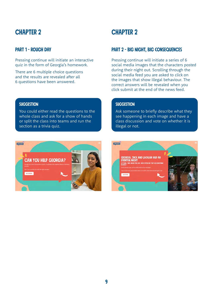### Part 1 - Rough Day

Pressing continue will initiate an interactive quiz in the form of Georgia's homework.

There are 6 multiple choice questions and the results are revealed after all 6 questions have been answered.

# **CHAPTER 2**

### Part 2 - Big night, big consequences

Pressing continue will initiate a series of 6 social media images that the characters posted during their night out. Scrolling through the social media feed you are asked to click on the images that show illegal behaviour. The correct answers will be revealed when you click submit at the end of the news feed.

#### **SUGGESTION**

You could either read the questions to the whole class and ask for a show of hands or split the class into teams and run the section as a trivia quiz.



#### **SUGGESTION**

Ask someone to briefly describe what they see happening in each image and have a class discussion and vote on whether it is illegal or not.

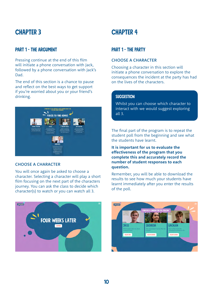### Part 1 - The argument

Pressing continue at the end of this film will initiate a phone conversation with Jack, followed by a phone conversation with Jack's Dad.

The end of this section is a chance to pause and reflect on the best ways to get support if you're worried about you or your friend's drinking.



#### CHOOSE A CHARACTER

You will once again be asked to choose a character. Selecting a character will play a short film focusing on the next part of the characters journey. You can ask the class to decide which character(s) to watch or you can watch all 3.

# **CHAPTER 4**

### Part 1 - The Party

#### CHOOSE A CHARACTER

Choosing a character in this section will initiate a phone conversation to explore the consequences the incident at the party has had on the lives of the characters.

#### **SUGGESTION**

Whilst you can choose which character to interact with we would suggest exploring all 3.

The final part of the program is to repeat the student poll from the beginning and see what the students have learnt.

**It is important for us to evaluate the effectiveness of the program that you complete this and accurately record the number of student responses to each question.**

Remember, you will be able to download the results to see how much your students have learnt immediately after you enter the results of the poll.



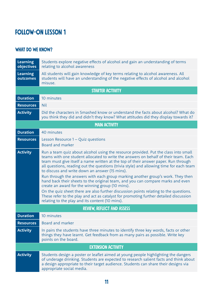# <span id="page-10-0"></span>Follow-on Lesson 1

### WHAT DO WE KNOW?

| <b>Learning</b><br>objectives | Students explore negative effects of alcohol and gain an understanding of terms<br>relating to alcohol awareness                                                                                                                                                                                                                                                                                                                                                                                                                                                                                                                                                                                                                                                                                                                                                             |
|-------------------------------|------------------------------------------------------------------------------------------------------------------------------------------------------------------------------------------------------------------------------------------------------------------------------------------------------------------------------------------------------------------------------------------------------------------------------------------------------------------------------------------------------------------------------------------------------------------------------------------------------------------------------------------------------------------------------------------------------------------------------------------------------------------------------------------------------------------------------------------------------------------------------|
| <b>Learning</b><br>outcomes   | All students will gain knowledge of key terms relating to alcohol awareness. All<br>students will have an understanding of the negative effects of alcohol and alcohol<br>misuse.                                                                                                                                                                                                                                                                                                                                                                                                                                                                                                                                                                                                                                                                                            |
|                               | <b>STARTER ACTIVITY</b>                                                                                                                                                                                                                                                                                                                                                                                                                                                                                                                                                                                                                                                                                                                                                                                                                                                      |
| <b>Duration</b>               | 10 minutes                                                                                                                                                                                                                                                                                                                                                                                                                                                                                                                                                                                                                                                                                                                                                                                                                                                                   |
| <b>Resources</b>              | <b>Nil</b>                                                                                                                                                                                                                                                                                                                                                                                                                                                                                                                                                                                                                                                                                                                                                                                                                                                                   |
| <b>Activity</b>               | Did the characters in Smashed know or understand the facts about alcohol? What do<br>you think they did and didn't they know? What attitudes did they display towards it?                                                                                                                                                                                                                                                                                                                                                                                                                                                                                                                                                                                                                                                                                                    |
|                               | <b>MAIN ACTIVITY</b>                                                                                                                                                                                                                                                                                                                                                                                                                                                                                                                                                                                                                                                                                                                                                                                                                                                         |
| <b>Duration</b>               | 40 minutes                                                                                                                                                                                                                                                                                                                                                                                                                                                                                                                                                                                                                                                                                                                                                                                                                                                                   |
| <b>Resources</b>              | Lesson Resource 1 - Quiz questions<br>Board and marker                                                                                                                                                                                                                                                                                                                                                                                                                                                                                                                                                                                                                                                                                                                                                                                                                       |
| <b>Activity</b>               | Run a team quiz about alcohol using the resource provided. Put the class into small<br>teams with one student allocated to write the answers on behalf of their team. Each<br>team must give itself a name written at the top of their answer paper. Run through<br>all questions, reading out the questions (trivia style) and allowing time for each team<br>to discuss and write down an answer (15 mins).<br>Run through the answers with each group marking another group's work. They then<br>hand back their sheets to the original team, and you can compare marks and even<br>create an award for the winning group (10 mins).<br>On the quiz sheet there are also further discussion points relating to the questions.<br>These refer to the play and act as catalyst for promoting further detailed discussion<br>relating to the play and its content (10 mins). |
|                               | <b>REVIEW, REFLECT AND ASSESS</b>                                                                                                                                                                                                                                                                                                                                                                                                                                                                                                                                                                                                                                                                                                                                                                                                                                            |
| <b>Duration</b>               | 10 minutes                                                                                                                                                                                                                                                                                                                                                                                                                                                                                                                                                                                                                                                                                                                                                                                                                                                                   |
| <b>Resources</b>              | Board and marker                                                                                                                                                                                                                                                                                                                                                                                                                                                                                                                                                                                                                                                                                                                                                                                                                                                             |
| <b>Activity</b>               | In pairs the students have three minutes to identify three key words, facts or other<br>things they have learnt. Get feedback from as many pairs as possible. Write key<br>points on the board.                                                                                                                                                                                                                                                                                                                                                                                                                                                                                                                                                                                                                                                                              |
|                               | <b>EXTENSION ACTIVITY</b>                                                                                                                                                                                                                                                                                                                                                                                                                                                                                                                                                                                                                                                                                                                                                                                                                                                    |
| <b>Activity</b>               | Students design a poster or leaflet aimed at young people highlighting the dangers<br>of underage drinking. Students are expected to research salient facts and think about<br>a design appropriate to their target audience. Students can share their designs via<br>appropriate social media.                                                                                                                                                                                                                                                                                                                                                                                                                                                                                                                                                                              |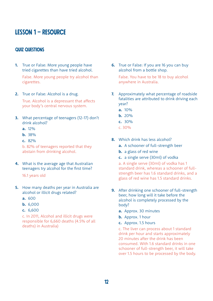### Lesson 1 – Resource

#### QUIZ QUESTIONS

**1.** True or False: More young people have tried cigarettes than have tried alcohol.

False. More young people try alcohol than cigarettes.

**2.** True or False: Alcohol is a drug.

True. Alcohol is a depressant that affects your body's central nervous system.

- **3.** What percentage of teenagers (12-17) don't drink alcohol?
	- **a.** 12%
	- **b.** 38%
	- **c.** 82%

b. 82% of teenagers reported that they abstain from drinking alcohol.

**4.** What is the average age that Australian teenagers try alcohol for the first time?

16.1 years old

- **5.** How many deaths per year in Australia are alcohol or illicit drugs related?
	- **a.** 600
	- **b.** 6,000
	- **c.** 6,600

c. In 2011, Alcohol and illicit drugs were responsible for 6,660 deaths (4.5% of all deaths) in Australia)

**6.** True or False: If you are 16 you can buy alcohol from a bottle shop.

False. You have to be 18 to buy alcohol anywhere in Australia.

- **7.** Approximately what percentage of roadside fatalities are attributed to drink driving each year?
	- **a.** 10%
	- **b.** 20%
	- **c.** 30%
	- c. 30%
- **8.** Which drink has less alcohol?
	- **a.** A schooner of full-strength beer
	- **b.** a glass of red wine
	- **c.** a single serve (30ml) of vodka

a. A single serve (30ml) of vodka has 1 standard drink, whereas a schooner of fullstrength beer has 1.6 standard drinks, and a glass of red wine has 1.5 standard drinks.

- **9.** After drinking one schooner of full-strength beer, how long will it take before the alcohol is completely processed by the body?
	- **a.** Approx. 30 minutes
	- **b.** Approx. 1 hour
	- **c.** Approx. 1.5 hours

c. The liver can process about 1 standard drink per hour and starts approximately 20 minutes after the drink has been consumed. With 1.6 standard drinks in one schooner of full-strength beer, it will take over 1.5 hours to be processed by the body.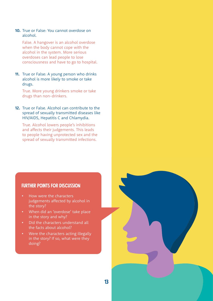**10.** True or False: You cannot overdose on alcohol.

False. A hangover is an alcohol overdose when the body cannot cope with the alcohol in the system. More serious overdoses can lead people to lose consciousness and have to go to hospital.

**11.** True or False: A young person who drinks alcohol is more likely to smoke or take drugs.

True. More young drinkers smoke or take drugs than non-drinkers.

**12.** True or False. Alcohol can contribute to the spread of sexually transmitted diseases like HIV/AIDS, Hepatitis C and Chlamydia.

True. Alcohol lowers people's inhibitions and affects their judgements. This leads to people having unprotected sex and the spread of sexually transmitted infections.

#### FURTHER POINTS FOR DISCUSSION

- How were the characters judgements affected by alcohol in the story?
- When did an 'overdose' take place in the story and why?
- Did the characters understand all the facts about alcohol?
- Were the characters acting illegally in the story? If so, what were they doing?

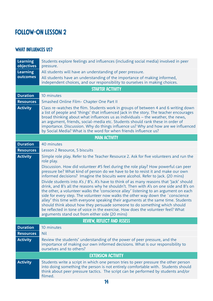# Follow-on Lesson 2

### WHAT INFLUENCES US?

| <b>Learning</b><br>objectives | Students explore feelings and influences (including social media) involved in peer<br>pressure.                                                                                                                                                                                                                                                                                                                                                                                                                                                                                                                                                                                                                                                                                                                                                                                                                                                                                                                                         |
|-------------------------------|-----------------------------------------------------------------------------------------------------------------------------------------------------------------------------------------------------------------------------------------------------------------------------------------------------------------------------------------------------------------------------------------------------------------------------------------------------------------------------------------------------------------------------------------------------------------------------------------------------------------------------------------------------------------------------------------------------------------------------------------------------------------------------------------------------------------------------------------------------------------------------------------------------------------------------------------------------------------------------------------------------------------------------------------|
| <b>Learning</b><br>outcomes   | All students will have an understanding of peer pressure.<br>All students have an understanding of the importance of making informed,<br>independent choices, and our responsibility to ourselves in making choices.                                                                                                                                                                                                                                                                                                                                                                                                                                                                                                                                                                                                                                                                                                                                                                                                                    |
|                               | <b>STARTER ACTIVITY</b>                                                                                                                                                                                                                                                                                                                                                                                                                                                                                                                                                                                                                                                                                                                                                                                                                                                                                                                                                                                                                 |
| <b>Duration</b>               | 10 minutes                                                                                                                                                                                                                                                                                                                                                                                                                                                                                                                                                                                                                                                                                                                                                                                                                                                                                                                                                                                                                              |
| <b>Resources</b>              | Smashed Online Film- Chapter One Part II                                                                                                                                                                                                                                                                                                                                                                                                                                                                                                                                                                                                                                                                                                                                                                                                                                                                                                                                                                                                |
| <b>Activity</b>               | Class re-watches the film. Students work in groups of between 4 and 6 writing down<br>a list of people and 'things' that influenced Jack in the story. The teacher encourages<br>broad thinking about what influences us as individuals - the weather, the news,<br>an argument, friends, social-media etc. Students should rank these in order of<br>importance. Discussion. Why do things influence us? Why and how are we influenced<br>by Social Media? What is the word for when friends influence us?                                                                                                                                                                                                                                                                                                                                                                                                                                                                                                                             |
|                               | <b>MAIN ACTIVITY</b>                                                                                                                                                                                                                                                                                                                                                                                                                                                                                                                                                                                                                                                                                                                                                                                                                                                                                                                                                                                                                    |
| <b>Duration</b>               | 40 minutes                                                                                                                                                                                                                                                                                                                                                                                                                                                                                                                                                                                                                                                                                                                                                                                                                                                                                                                                                                                                                              |
| <b>Resources</b>              | Lesson 2 Resource, 5 biscuits                                                                                                                                                                                                                                                                                                                                                                                                                                                                                                                                                                                                                                                                                                                                                                                                                                                                                                                                                                                                           |
| <b>Activity</b>               | Simple role play. Refer to the Teacher Resource 2. Ask for five volunteers and run the<br>role play.<br>Discussion. How did volunteer #5 feel during the role play? How powerful can peer<br>pressure be? What kind of person do we have to be to resist it and make our own<br>informed decisions? Imagine the biscuits were alcohol. Refer to Jack. (20 mins)<br>Divide students into A's / B's. A's have to think of as many reasons that 'Jack' should<br>drink, and B's all the reasons why he shouldn't. Then with A's on one side and B's on<br>the other, a volunteer walks the 'conscience alley' listening to an argument on each<br>side for every step. The volunteer now walks the other way down the `conscience<br>alley' this time with everyone speaking their arguments at the same time. Students<br>should think about how they persuade someone to do something which should<br>be reflected in tone of voice in the exercise. How does the volunteer feel? What<br>arguments stand out from either side (20 mins) |
|                               | <b>REVIEW, REFLECT AND ASSESS</b>                                                                                                                                                                                                                                                                                                                                                                                                                                                                                                                                                                                                                                                                                                                                                                                                                                                                                                                                                                                                       |
| <b>Duration</b>               | 10 minutes                                                                                                                                                                                                                                                                                                                                                                                                                                                                                                                                                                                                                                                                                                                                                                                                                                                                                                                                                                                                                              |
| <b>Resources</b>              | <b>Nil</b>                                                                                                                                                                                                                                                                                                                                                                                                                                                                                                                                                                                                                                                                                                                                                                                                                                                                                                                                                                                                                              |
| <b>Activity</b>               | Review the students' understanding of the power of peer pressure, and the<br>importance of making our own informed decisions. What is our responsibility to<br>ourselves and to others?                                                                                                                                                                                                                                                                                                                                                                                                                                                                                                                                                                                                                                                                                                                                                                                                                                                 |
|                               | <b>EXTENSION ACTIVITY</b>                                                                                                                                                                                                                                                                                                                                                                                                                                                                                                                                                                                                                                                                                                                                                                                                                                                                                                                                                                                                               |
| <b>Activity</b>               | Students write a script in which one person tries to peer pressure the other person<br>into doing something the person is not entirely comfortable with. Students should<br>think about peer pressure tactics. The script can be performed by students and/or<br>filmed.                                                                                                                                                                                                                                                                                                                                                                                                                                                                                                                                                                                                                                                                                                                                                                |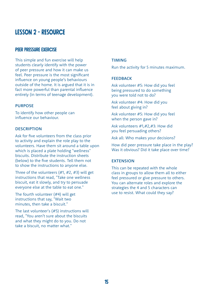### lesson 2 - resource

#### PEER PRESSURE EXERCISE

This simple and fun exercise will help students clearly identify with the power of peer pressure and how it can make us feel. Peer pressure is the most significant influence on young people's behaviours outside of the home. It is argued that it is in fact more powerful than parental influence entirely (in terms of teenage development).

#### PURPOSE

To identify how other people can influence our behaviour.

#### **DESCRIPTION**

Ask for five volunteers from the class prior to activity and explain the role play to the volunteers. Have them sit around a table upon which is placed a plate holding "wellness" biscuits. Distribute the instruction sheets (below) to the five students. Tell them not to show the instructions to anyone else.

Three of the volunteers (#1, #2, #3) will get instructions that read, "Take one wellness biscuit, eat it slowly, and try to persuade everyone else at the table to eat one."

The fourth volunteer (#4) will get instructions that say, "Wait two minutes, then take a biscuit."

The last volunteer's (#5) instructions will read, "You aren't sure about the biscuits and what they might do to you. Do not take a biscuit, no matter what."

#### TIMING

Run the activity for 5 minutes maximum.

#### **FFFDBACK**

Ask volunteer #5: How did you feel being pressured to do something you were told not to do?

Ask volunteer #4: How did you feel about giving in?

Ask volunteer #5: How did you feel when the person gave in?

Ask volunteers #1,#2,#3: How did you feel persuading others?

Ask all: Who makes your decisions?

How did peer pressure take place in the play? Was it obvious? Did it take place over time?

#### **EXTENSION**

This can be repeated with the whole class in groups to allow them all to either feel pressured or give pressure to others. You can alternate roles and explore the strategies the 4 and 5 characters can use to resist. What could they say?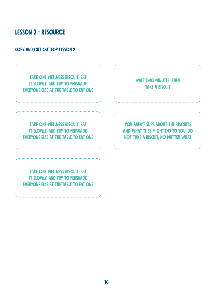# lesson 2 - resource

### copy and cut out for lesson 2

| <b>TAKE ONE WELLNESS BISCUIT, EAT</b><br>IT SLOWLY, AND TRY TO PERSUADE<br><b>EVERYONE ELSE AT THE TABLE TO EAT ONE</b> | <b>WAIT TWO MINUTES, THEN</b><br><b>TAKE A BISCUIT</b>                                                                      |
|-------------------------------------------------------------------------------------------------------------------------|-----------------------------------------------------------------------------------------------------------------------------|
| <b>TAKE ONE WELLNESS BISCUIT, EAT</b><br>IT SLOWLY, AND TRY TO PERSUADE<br><b>EVERYONE ELSE AT THE TABLE TO EAT ONE</b> | <b>YOU AREN'T SURE ABOUT THE BISCUITS</b><br>AND WHAT THEY MIGHT DO TO YOU, DO<br><b>NOT TAKE A BISCUIT, NO MATTER WHAT</b> |
| <b>TAKE ONE WELLNESS BISCUIT, EAT</b><br>IT SLOWLY, AND TRY TO PERSUADE<br><b>EVERYONE ELSE AT THE TABLE TO EAT ONE</b> |                                                                                                                             |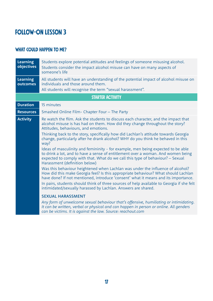# Follow-on Lesson 3

### WHAT COULD HAPPEN TO ME?

| <b>Learning</b><br>objectives | Students explore potential attitudes and feelings of someone misusing alcohol.<br>Students consider the impact alcohol misuse can have on many aspects of<br>someone's life                                                                                                                                                                                                                                                                                                                                                                                                                                                                                                                                                                                                                                                                                                                                                                                                                                                                                                                                                                                                                                                                                                                                                                                                                       |  |  |
|-------------------------------|---------------------------------------------------------------------------------------------------------------------------------------------------------------------------------------------------------------------------------------------------------------------------------------------------------------------------------------------------------------------------------------------------------------------------------------------------------------------------------------------------------------------------------------------------------------------------------------------------------------------------------------------------------------------------------------------------------------------------------------------------------------------------------------------------------------------------------------------------------------------------------------------------------------------------------------------------------------------------------------------------------------------------------------------------------------------------------------------------------------------------------------------------------------------------------------------------------------------------------------------------------------------------------------------------------------------------------------------------------------------------------------------------|--|--|
| <b>Learning</b><br>outcomes   | All students will have an understanding of the potential impact of alcohol misuse on<br>individuals and those around them.<br>All students will recognise the term "sexual harassment".                                                                                                                                                                                                                                                                                                                                                                                                                                                                                                                                                                                                                                                                                                                                                                                                                                                                                                                                                                                                                                                                                                                                                                                                           |  |  |
|                               | <b>STARTER ACTIVITY</b>                                                                                                                                                                                                                                                                                                                                                                                                                                                                                                                                                                                                                                                                                                                                                                                                                                                                                                                                                                                                                                                                                                                                                                                                                                                                                                                                                                           |  |  |
| <b>Duration</b>               | 15 minutes                                                                                                                                                                                                                                                                                                                                                                                                                                                                                                                                                                                                                                                                                                                                                                                                                                                                                                                                                                                                                                                                                                                                                                                                                                                                                                                                                                                        |  |  |
| <b>Resources</b>              | Smashed Online Film- Chapter Four - The Party                                                                                                                                                                                                                                                                                                                                                                                                                                                                                                                                                                                                                                                                                                                                                                                                                                                                                                                                                                                                                                                                                                                                                                                                                                                                                                                                                     |  |  |
| <b>Activity</b>               | Re watch the film. Ask the students to discuss each character, and the impact that<br>alcohol misuse is has had on them. How did they change throughout the story?<br>Attitudes, behaviours, and emotions.<br>Thinking back to the story, specifically how did Lachlan's attitude towards Georgia<br>change, particularly after he drank alcohol? WHY do you think he behaved in this<br>way?<br>Ideas of masculinity and femininity - for example, men being expected to be able<br>to drink a lot, and to have a sense of entitlement over a woman. And women being<br>expected to comply with that. What do we call this type of behaviour? - Sexual<br>Harassment (definition below)<br>Was this behaviour heightened when Lachlan was under the influence of alcohol?<br>How did this make Georgia feel? Is this appropriate behaviour? What should Lachlan<br>have done? If not mentioned, introduce 'consent' what it means and its importance.<br>In pairs, students should think of three sources of help available to Georgia if she felt<br>intimidated/sexually harassed by Lachlan. Answers are shared.<br><b>SEXUAL HARASSMENT</b><br>Any form of unwelcome sexual behaviour that's offensive, humiliating or intimidating.<br>It can be written, verbal or physical and can happen in person or online. All genders<br>can be victims. It is against the law. Source: reachout.com |  |  |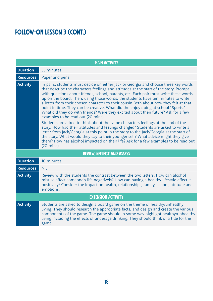# FOLLOW-ON LESSON 3 (CONT.)

| <b>MAIN ACTIVITY</b> |                                                                                                                                                                                                                                                                                                                                                                                                                                                                                                                                                                                                                                                                                                                                                                                                                                                                                                                                                                                                                                                                                                                                          |  |
|----------------------|------------------------------------------------------------------------------------------------------------------------------------------------------------------------------------------------------------------------------------------------------------------------------------------------------------------------------------------------------------------------------------------------------------------------------------------------------------------------------------------------------------------------------------------------------------------------------------------------------------------------------------------------------------------------------------------------------------------------------------------------------------------------------------------------------------------------------------------------------------------------------------------------------------------------------------------------------------------------------------------------------------------------------------------------------------------------------------------------------------------------------------------|--|
| <b>Duration</b>      | 35 minutes                                                                                                                                                                                                                                                                                                                                                                                                                                                                                                                                                                                                                                                                                                                                                                                                                                                                                                                                                                                                                                                                                                                               |  |
| <b>Resources</b>     | Paper and pens                                                                                                                                                                                                                                                                                                                                                                                                                                                                                                                                                                                                                                                                                                                                                                                                                                                                                                                                                                                                                                                                                                                           |  |
| <b>Activity</b>      | In pairs, students must decide on either Jack or Georgia and choose three key words<br>that describe the characters feelings and attitudes at the start of the story. Prompt<br>with questions about friends, school, parents, etc. Each pair must write these words<br>up on the board. Then, using those words, the students have ten minutes to write<br>a letter from their chosen character to their cousin Beth about how they felt at that<br>point in time. They can be creative. What did the enjoy doing at school? Sports?<br>What did they do with friends? Were they excited about their future? Ask for a few<br>examples to be read out (20 mins)<br>Students are asked to think about the same characters feelings at the end of the<br>story. How had their attitudes and feelings changed? Students are asked to write a<br>letter from Jack/Georgia at this point in the story to the Jack/Georgia at the start of<br>the story. What would they say to their younger self? What advice might they give<br>them? How has alcohol impacted on their life? Ask for a few examples to be read out<br>$(20 \text{ mins})$ |  |
|                      | <b>REVIEW, REFLECT AND ASSESS</b>                                                                                                                                                                                                                                                                                                                                                                                                                                                                                                                                                                                                                                                                                                                                                                                                                                                                                                                                                                                                                                                                                                        |  |
| <b>Duration</b>      | 10 minutes                                                                                                                                                                                                                                                                                                                                                                                                                                                                                                                                                                                                                                                                                                                                                                                                                                                                                                                                                                                                                                                                                                                               |  |
| <b>Resources</b>     | <b>Nil</b>                                                                                                                                                                                                                                                                                                                                                                                                                                                                                                                                                                                                                                                                                                                                                                                                                                                                                                                                                                                                                                                                                                                               |  |
| <b>Activity</b>      | Review with the students the contrast between the two letters. How can alcohol<br>misuse affect someone's life negatively? How can having a healthy lifestyle affect it<br>positively? Consider the impact on health, relationships, family, school, attitude and<br>emotions.                                                                                                                                                                                                                                                                                                                                                                                                                                                                                                                                                                                                                                                                                                                                                                                                                                                           |  |
|                      | <b>EXTENSION ACTIVITY</b>                                                                                                                                                                                                                                                                                                                                                                                                                                                                                                                                                                                                                                                                                                                                                                                                                                                                                                                                                                                                                                                                                                                |  |
| <b>Activity</b>      | Students are asked to design a board game on the theme of healthy/unhealthy<br>living. They should research the appropriate facts, and design and create the various<br>components of the game. The game should in some way highlight healthy/unhealthy<br>living including the effects of underage drinking. They should think of a title for the<br>game.                                                                                                                                                                                                                                                                                                                                                                                                                                                                                                                                                                                                                                                                                                                                                                              |  |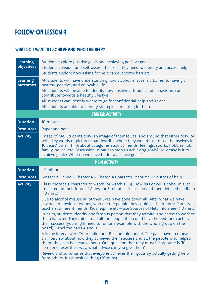# Follow-on Lesson 4

### WHAT DO I WANT TO ACHIEVE AND WHO CAN HELP?

| <b>Learning</b><br>objectives | Students explore positive goals and achieving positive goals.<br>Students consider and self-assess the skills they need to identify and access help.<br>Students explore how asking for help can overcome barriers.                                                                                                                                                                                                   |
|-------------------------------|-----------------------------------------------------------------------------------------------------------------------------------------------------------------------------------------------------------------------------------------------------------------------------------------------------------------------------------------------------------------------------------------------------------------------|
| <b>Learning</b><br>outcomes   | All students will have understanding how alcohol misuse is a barrier to having a<br>healthy, positive, and enjoyable life.<br>All students will be able to identify how positive attitudes and behaviours can<br>contribute towards a healthy lifestyle.<br>All students can identify where to go for confidential help and advice.<br>All students are able to identify strategies for asking for help.              |
|                               | <b>STARTER ACTIVITY</b>                                                                                                                                                                                                                                                                                                                                                                                               |
| <b>Duration</b>               | 10 minutes                                                                                                                                                                                                                                                                                                                                                                                                            |
| <b>Resources</b>              | Paper and pens                                                                                                                                                                                                                                                                                                                                                                                                        |
| <b>Activity</b>               | Image of Me. Students draw an image of themselves, and around that either draw or<br>write key words or pictures that describe where they would like to see themselves in<br>10 years' time. Think about categories such as friends, feelings, sports, hobbies, job,<br>family, house, etc. Discussion. What can stop us achieving goals? How easy is it to<br>achieve goals? What do we have to do to achieve goals? |
|                               | <b>MAIN ACTIVITY</b>                                                                                                                                                                                                                                                                                                                                                                                                  |
| <b>Duration</b>               | 40 minutes                                                                                                                                                                                                                                                                                                                                                                                                            |
| <b>Resources</b>              |                                                                                                                                                                                                                                                                                                                                                                                                                       |
|                               | Smashed Online - Chapter 4 - Choose a Character Resource - Sources of help                                                                                                                                                                                                                                                                                                                                            |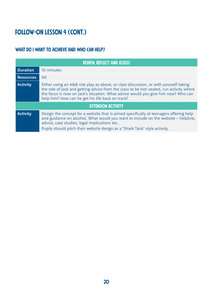# FOLLOW-ON LESSON 4 (CONT.)

### WHAT DO I WANT TO ACHIEVE AND WHO CAN HELP?

| <b>REVIEW, REFLECT AND ASSESS</b> |                                                                                                                                                                                                                                                                                                                          |  |
|-----------------------------------|--------------------------------------------------------------------------------------------------------------------------------------------------------------------------------------------------------------------------------------------------------------------------------------------------------------------------|--|
| <b>Duration</b>                   | 10 minutes                                                                                                                                                                                                                                                                                                               |  |
| <b>Resources</b>                  | <b>Nil</b>                                                                                                                                                                                                                                                                                                               |  |
| <b>Activity</b>                   | Either using an A&B role play as above, or class discussion, or with yourself taking<br>the role of Jack and getting advice from the class to be hot-seated, run activity where<br>the focus is now on Jack's situation. What advice would you give him now? Who can<br>help him? How can he get his life back on track? |  |
| <b>EXTENSION ACTIVITY</b>         |                                                                                                                                                                                                                                                                                                                          |  |
| <b>Activity</b>                   | Design the concept for a website that is aimed specifically at teenagers offering help<br>and guidance on alcohol. What would you want to include on the website - helpline,<br>advice, case studies, legal implications etc.<br>Pupils should pitch their website design as a 'Shark Tank' style activity.              |  |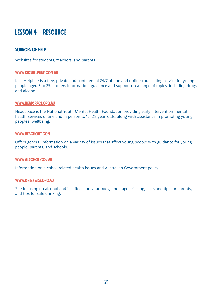## Lesson 4 – Resource

### SOURCES OF HELP

Websites for students, teachers, and parents

#### [www.kidshelpline.com.au](http://www.kidshelpline.com.au)

Kids Helpline is a free, private and confidential 24/7 phone and online counselling service for young people aged 5 to 25. It offers information, guidance and support on a range of topics, including drugs and alcohol.

#### [www.headspace.org.au](http://www.headspace.org.au)

Headspace is the National Youth Mental Health Foundation providing early intervention mental health services online and in person to 12–25-year-olds, along with assistance in promoting young peoples' wellbeing.

#### [www.reachout.com](http://www.reachout.com)

Offers general information on a variety of issues that affect young people with guidance for young people, parents, and schools.

#### [www.alcohol.gov.au](http://www.alcohol.gov.au)

Information on alcohol-related health issues and Australian Government policy.

#### [www.drinkwise.org.au](http://www.drinkwise.org.au)

Site focusing on alcohol and its effects on your body, underage drinking, facts and tips for parents, and tips for safe drinking.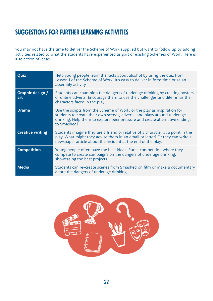# suggestions for further learning activities

You may not have the time to deliver the Scheme of Work supplied but want to follow up by adding activities related to what the students have experienced as part of existing Schemes of Work. Here is a selection of ideas

| Quiz                    | Help young people learn the facts about alcohol by using the quiz from<br>Lesson 1 of the Scheme of Work. It's easy to deliver in form time or as an<br>assembly activity.                                                                       |
|-------------------------|--------------------------------------------------------------------------------------------------------------------------------------------------------------------------------------------------------------------------------------------------|
| Graphic design /<br>art | Students can champion the dangers of underage drinking by creating posters<br>or online adverts. Encourage them to use the challenges and dilemmas the<br>characters faced in the play.                                                          |
| <b>Drama</b>            | Use the scripts from the Scheme of Work, or the play as inspiration for<br>students to create their own scenes, adverts, and plays around underage<br>drinking. Help them to explore peer pressure and create alternative endings<br>to Smashed! |
| <b>Creative writing</b> | Students imagine they are a friend or relative of a character at a point in the<br>play. What might they advise them in an email or letter? Or they can write a<br>newspaper article about the incident at the end of the play.                  |
| <b>Competition</b>      | Young people often have the best ideas. Run a competition where they<br>compete to create campaigns on the dangers of underage drinking,<br>showcasing the best projects.                                                                        |
| <b>Media</b>            | Students can re-create scenes from Smashed on film or make a documentary<br>about the dangers of underage drinking.                                                                                                                              |

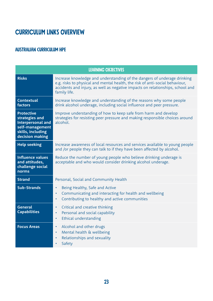# <span id="page-22-0"></span>Curriculum Links Overview

### Australian Curriculum hpe

|                                                                                                                     | <b>LEARNING OBJECTIVES</b>                                                                                                                                                                                                                                 |
|---------------------------------------------------------------------------------------------------------------------|------------------------------------------------------------------------------------------------------------------------------------------------------------------------------------------------------------------------------------------------------------|
| <b>Risks</b>                                                                                                        | Increase knowledge and understanding of the dangers of underage drinking<br>e.g. risks to physical and mental health, the risk of anti-social behaviour,<br>accidents and injury, as well as negative impacts on relationships, school and<br>family life. |
| Contextual<br>factors                                                                                               | Increase knowledge and understanding of the reasons why some people<br>drink alcohol underage, including social influence and peer pressure.                                                                                                               |
| <b>Protective</b><br>strategies and<br>Interpersonal and<br>self-management<br>skills, including<br>decision making | Improve understanding of how to keep safe from harm and develop<br>strategies for resisting peer pressure and making responsible choices around<br>alcohol.                                                                                                |
| <b>Help seeking</b>                                                                                                 | Increase awareness of local resources and services available to young people<br>and /or people they can talk to if they have been affected by alcohol.                                                                                                     |
| <b>Influence values</b><br>and attitudes,<br>challenge social<br>norms                                              | Reduce the number of young people who believe drinking underage is<br>acceptable and who would consider drinking alcohol underage.                                                                                                                         |
| <b>Strand</b>                                                                                                       | Personal, Social and Community Health                                                                                                                                                                                                                      |
| <b>Sub-Strands</b>                                                                                                  | Being Healthy, Safe and Active<br>$\bullet$<br>Communicating and interacting for health and wellbeing<br>$\bullet$<br>Contributing to healthy and active communities<br>$\bullet$                                                                          |
| <b>General</b><br><b>Capabilities</b>                                                                               | Critical and creative thinking<br>$\bullet$<br>Personal and social capability<br>$\bullet$<br>Ethical understanding<br>$\bullet$                                                                                                                           |
| <b>Focus Areas</b>                                                                                                  | Alcohol and other drugs<br>$\bullet$<br>Mental health & wellbeing<br>$\bullet$<br>Relationships and sexuality<br>$\bullet$<br>Safety<br>$\bullet$                                                                                                          |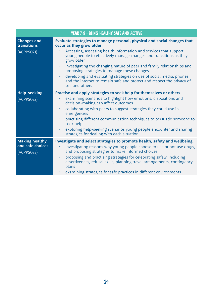|                                   | <b>YEAR 7-8 - BEING HEALTHY SAFE AND ACTIVE</b>                                                                                                                               |
|-----------------------------------|-------------------------------------------------------------------------------------------------------------------------------------------------------------------------------|
| <b>Changes and</b><br>transitions | Evaluate strategies to manage personal, physical and social changes that<br>occur as they grow older                                                                          |
| (ACPPS071)                        | Accessing, assessing health information and services that support<br>$\bullet$<br>young people to effectively manage changes and transitions as they<br>grow older            |
|                                   | investigating the changing nature of peer and family relationships and<br>$\bullet$<br>proposing strategies to manage these changes                                           |
|                                   | developing and evaluating strategies on use of social media, phones<br>$\bullet$<br>and the internet to remain safe and protect and respect the privacy of<br>self and others |
| <b>Help-seeking</b>               | Practise and apply strategies to seek help for themselves or others                                                                                                           |
| (ACPPSO72)                        | examining scenarios to highlight how emotions, dispositions and<br>٠<br>decision-making can affect outcomes                                                                   |
|                                   | collaborating with peers to suggest strategies they could use in<br>$\bullet$<br>emergencies                                                                                  |
|                                   | practising different communication techniques to persuade someone to<br>$\bullet$<br>seek help                                                                                |
|                                   | exploring help-seeking scenarios young people encounter and sharing<br>$\bullet$<br>strategies for dealing with each situation                                                |
| <b>Making healthy</b>             | Investigate and select strategies to promote health, safety and wellbeing.                                                                                                    |
| and safe choices<br>(ACPPSO73)    | investigating reasons why young people choose to use or not use drugs,<br>٠<br>and proposing strategies to make informed choices                                              |
|                                   | proposing and practising strategies for celebrating safely, including<br>$\bullet$<br>assertiveness, refusal skills, planning travel arrangements, contingency<br>plans       |
|                                   | examining strategies for safe practices in different environments<br>٠                                                                                                        |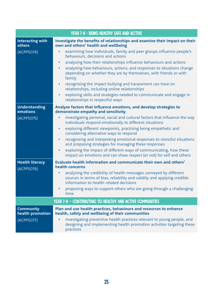|                                                    | <b>YEAR 7-8 - BEING HEALTHY SAFE AND ACTIVE</b>                                                                                                                                                                                                                                                                                                                                                                                                                                                                                                                                                                                    |
|----------------------------------------------------|------------------------------------------------------------------------------------------------------------------------------------------------------------------------------------------------------------------------------------------------------------------------------------------------------------------------------------------------------------------------------------------------------------------------------------------------------------------------------------------------------------------------------------------------------------------------------------------------------------------------------------|
| <b>Interacting with</b><br>others                  | Investigate the benefits of relationships and examine their impact on their<br>own and others' health and wellbeing                                                                                                                                                                                                                                                                                                                                                                                                                                                                                                                |
| (ACPPSO74)                                         | examining how individuals, family and peer groups influence people's<br>$\bullet$<br>behaviours, decisions and actions<br>analysing how their relationships influence behaviours and actions<br>$\bullet$<br>analysing how behaviours, actions, and responses to situations change<br>$\bullet$<br>depending on whether they are by themselves, with friends or with<br>family<br>recognising the impact bullying and harassment can have on<br>$\bullet$<br>relationships, including online relationships<br>exploring skills and strategies needed to communicate and engage in<br>$\bullet$<br>relationships in respectful ways |
| Understanding<br>emotions                          | Analyse factors that influence emotions, and develop strategies to<br>demonstrate empathy and sensitivity                                                                                                                                                                                                                                                                                                                                                                                                                                                                                                                          |
| (ACPPSO75)                                         | investigating personal, social and cultural factors that influence the way<br>$\bullet$<br>individuals respond emotionally to different situations<br>exploring different viewpoints, practising being empathetic and<br>$\bullet$<br>considering alternative ways to respond<br>recognising and interpreting emotional responses to stressful situations<br>$\bullet$<br>and proposing strategies for managing these responses<br>exploring the impact of different ways of communicating, how these<br>$\bullet$<br>impact on emotions and can show respect (or not) for self and others                                         |
| <b>Health literacy</b><br>(ACPPS076)               | Evaluate health information and communicate their own and others'<br>health concerns<br>analysing the credibility of health messages conveyed by different<br>sources in terms of bias, reliability and validity and applying credible<br>information to health-related decisions<br>• proposing ways to support others who are going through a challenging<br>time                                                                                                                                                                                                                                                                |
|                                                    | YEAR 7-8 - CONTRIBUTING TO HEALTHY AND ACTIVE COMMUNITIES                                                                                                                                                                                                                                                                                                                                                                                                                                                                                                                                                                          |
| <b>Community</b><br>health promotion<br>(ACPPSO77) | Plan and use health practices, behaviours and resources to enhance<br>health, safety and wellbeing of their communities<br>investigating preventive health practices relevant to young people, and<br>designing and implementing health promotion activities targeting these<br>practices                                                                                                                                                                                                                                                                                                                                          |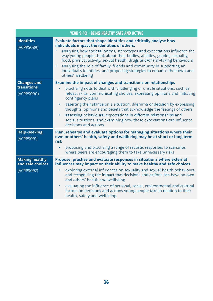|                                                         | <b>YEAR 9-10 - BEING HEALTHY SAFE AND ACTIVE</b>                                                                                                                                                                                                                                                                                                                                                                                                                                                                                                                                                                 |
|---------------------------------------------------------|------------------------------------------------------------------------------------------------------------------------------------------------------------------------------------------------------------------------------------------------------------------------------------------------------------------------------------------------------------------------------------------------------------------------------------------------------------------------------------------------------------------------------------------------------------------------------------------------------------------|
| <b>Identities</b><br>(ACPPS089)                         | Evaluate factors that shape identities and critically analyse how<br>individuals impact the identities of others.<br>analysing how societal norms, stereotypes and expectations influence the<br>way young people think about their bodies, abilities, gender, sexuality,<br>food, physical activity, sexual health, drugs and/or risk-taking behaviours<br>analysing the role of family, friends and community in supporting an<br>$\bullet$<br>individual's identities, and proposing strategies to enhance their own and<br>others' wellbeing                                                                 |
| <b>Changes and</b><br>transitions<br>(ACPPS090)         | Examine the impact of changes and transitions on relationships<br>practising skills to deal with challenging or unsafe situations, such as<br>$\bullet$<br>refusal skills, communicating choices, expressing opinions and initiating<br>contingency plans<br>asserting their stance on a situation, dilemma or decision by expressing<br>$\bullet$<br>thoughts, opinions and beliefs that acknowledge the feelings of others<br>assessing behavioural expectations in different relationships and<br>$\bullet$<br>social situations, and examining how these expectations can influence<br>decisions and actions |
| <b>Help-seeking</b><br>(ACPPS091)                       | Plan, rehearse and evaluate options for managing situations where their<br>own or others' health, safety and wellbeing may be at short or long term<br>risk<br>proposing and practising a range of realistic responses to scenarios<br>$\bullet$<br>where peers are encouraging them to take unnecessary risks                                                                                                                                                                                                                                                                                                   |
| <b>Making healthy</b><br>and safe choices<br>(ACPPSO92) | Propose, practise and evaluate responses in situations where external<br>influences may impact on their ability to make healthy and safe choices.<br>exploring external influences on sexuality and sexual health behaviours,<br>$\bullet$<br>and recognising the impact that decisions and actions can have on own<br>and others' health and wellbeing<br>evaluating the influence of personal, social, environmental and cultural<br>$\bullet$<br>factors on decisions and actions young people take in relation to their<br>health, safety and wellbeing                                                      |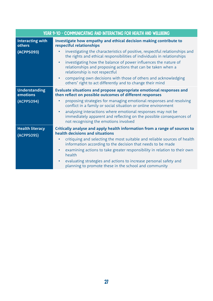| <b>YEAR 9-10 - COMMUNICATING AND INTERACTING FOR HEALTH AND WELLBEING</b> |                                                                                                                                                                                          |
|---------------------------------------------------------------------------|------------------------------------------------------------------------------------------------------------------------------------------------------------------------------------------|
| <b>Interacting with</b><br>others                                         | Investigate how empathy and ethical decision making contribute to<br>respectful relationships                                                                                            |
| (ACPPS093)                                                                | investigating the characteristics of positive, respectful relationships and<br>$\bullet$<br>the rights and ethical responsibilities of individuals in relationships                      |
|                                                                           | investigating how the balance of power influences the nature of<br>$\bullet$<br>relationships and proposing actions that can be taken when a<br>relationship is not respectful           |
|                                                                           | comparing own decisions with those of others and acknowledging<br>$\bullet$<br>others' right to act differently and to change their mind                                                 |
| <b>Understanding</b><br>emotions                                          | Evaluate situations and propose appropriate emotional responses and<br>then reflect on possible outcomes of different responses                                                          |
| (ACPPS094)                                                                | proposing strategies for managing emotional responses and resolving<br>$\bullet$<br>conflict in a family or social situation or online environment                                       |
|                                                                           | analysing interactions where emotional responses may not be<br>$\bullet$<br>immediately apparent and reflecting on the possible consequences of<br>not recognising the emotions involved |
| <b>Health literacy</b><br>(ACPPS095)                                      | Critically analyse and apply health information from a range of sources to<br>health decisions and situations                                                                            |
|                                                                           | critiquing and selecting the most suitable and reliable sources of health<br>$\bullet$<br>information according to the decision that needs to be made                                    |
|                                                                           | examining actions to take greater responsibility in relation to their own<br>$\bullet$<br>health                                                                                         |
|                                                                           | evaluating strategies and actions to increase personal safety and<br>$\bullet$<br>planning to promote these in the school and community                                                  |